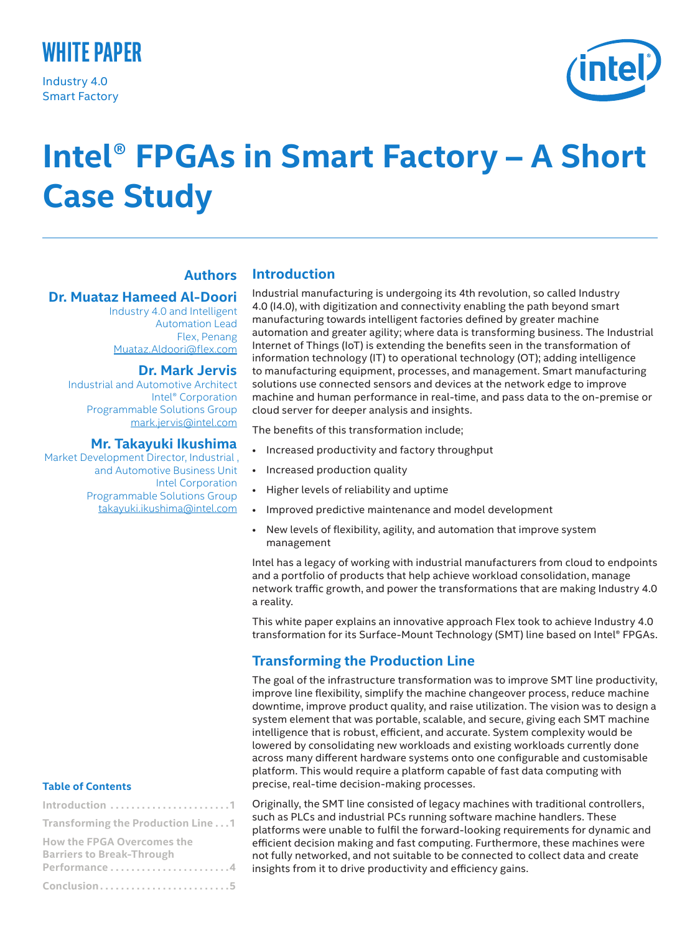

Industry 4.0 Smart Factory



# **Intel**® **FPGAs in Smart Factory – A Short Case Study**

# **Authors**

#### **Dr. Muataz Hameed Al-Doori**

Industry 4.0 and Intelligent Automation Lead Flex, Penang [Muataz.Aldoori@flex.com](mailto:Muataz.Aldoori@flex.com)

## **Dr. Mark Jervis**

Industrial and Automotive Architect Intel® Corporation Programmable Solutions Group [mark.jervis@intel.com](mailto:mark.jervis@intel.com)

#### **Mr. Takayuki Ikushima**

Market Development Director, Industrial , and Automotive Business Unit Intel Corporation Programmable Solutions Group [takayuki.ikushima@intel.com](mailto:takayuki.ikushima@intel.com)

#### **Table of Contents**

| Introduction 1                                                                        |
|---------------------------------------------------------------------------------------|
| Transforming the Production Line 1                                                    |
| <b>How the FPGA Overcomes the</b><br><b>Barriers to Break-Through</b><br>Performance4 |
| Conclusion5                                                                           |

## **Introduction**

Industrial manufacturing is undergoing its 4th revolution, so called Industry 4.0 (I4.0), with digitization and connectivity enabling the path beyond smart manufacturing towards intelligent factories defined by greater machine automation and greater agility; where data is transforming business. The Industrial Internet of Things (IoT) is extending the benefits seen in the transformation of information technology (IT) to operational technology (OT); adding intelligence to manufacturing equipment, processes, and management. Smart manufacturing solutions use connected sensors and devices at the network edge to improve machine and human performance in real-time, and pass data to the on-premise or cloud server for deeper analysis and insights.

The benefits of this transformation include;

- Increased productivity and factory throughput
- Increased production quality
- Higher levels of reliability and uptime
- Improved predictive maintenance and model development
- New levels of flexibility, agility, and automation that improve system management

Intel has a legacy of working with industrial manufacturers from cloud to endpoints and a portfolio of products that help achieve workload consolidation, manage network traffic growth, and power the transformations that are making Industry 4.0 a reality.

This white paper explains an innovative approach Flex took to achieve Industry 4.0 transformation for its Surface-Mount Technology (SMT) line based on Intel® FPGAs.

## **Transforming the Production Line**

The goal of the infrastructure transformation was to improve SMT line productivity, improve line flexibility, simplify the machine changeover process, reduce machine downtime, improve product quality, and raise utilization. The vision was to design a system element that was portable, scalable, and secure, giving each SMT machine intelligence that is robust, efficient, and accurate. System complexity would be lowered by consolidating new workloads and existing workloads currently done across many different hardware systems onto one configurable and customisable platform. This would require a platform capable of fast data computing with precise, real-time decision-making processes.

Originally, the SMT line consisted of legacy machines with traditional controllers, such as PLCs and industrial PCs running software machine handlers. These platforms were unable to fulfil the forward-looking requirements for dynamic and efficient decision making and fast computing. Furthermore, these machines were not fully networked, and not suitable to be connected to collect data and create insights from it to drive productivity and efficiency gains.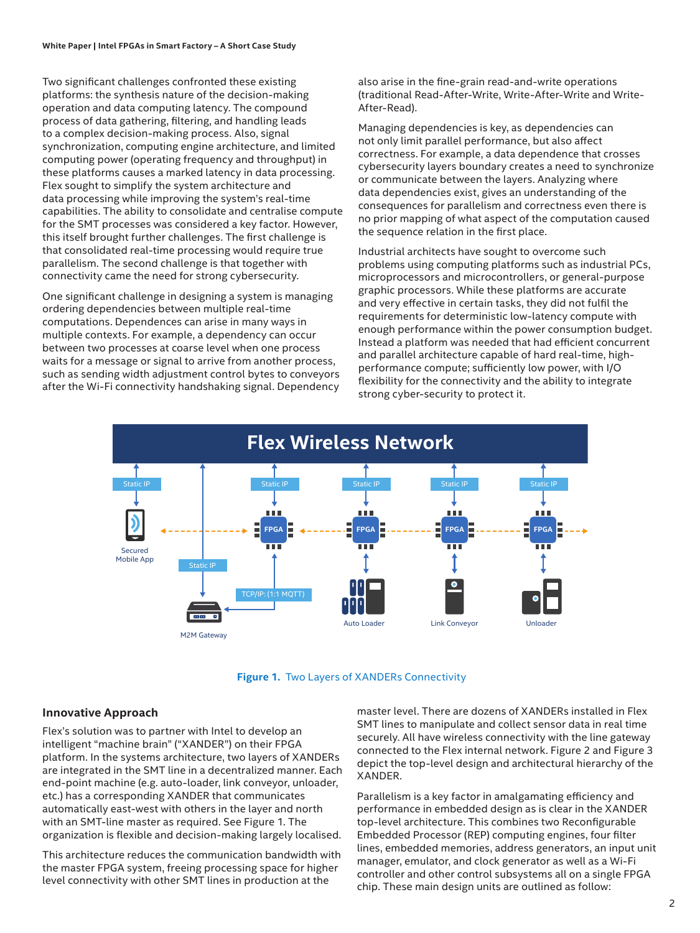Two significant challenges confronted these existing platforms: the synthesis nature of the decision-making operation and data computing latency. The compound process of data gathering, filtering, and handling leads to a complex decision-making process. Also, signal synchronization, computing engine architecture, and limited computing power (operating frequency and throughput) in these platforms causes a marked latency in data processing. Flex sought to simplify the system architecture and data processing while improving the system's real-time capabilities. The ability to consolidate and centralise compute for the SMT processes was considered a key factor. However, this itself brought further challenges. The first challenge is that consolidated real-time processing would require true parallelism. The second challenge is that together with connectivity came the need for strong cybersecurity.

One significant challenge in designing a system is managing ordering dependencies between multiple real-time computations. Dependences can arise in many ways in multiple contexts. For example, a dependency can occur between two processes at coarse level when one process waits for a message or signal to arrive from another process, such as sending width adjustment control bytes to conveyors after the Wi-Fi connectivity handshaking signal. Dependency

also arise in the fine-grain read-and-write operations (traditional Read-After-Write, Write-After-Write and Write-After-Read).

Managing dependencies is key, as dependencies can not only limit parallel performance, but also affect correctness. For example, a data dependence that crosses cybersecurity layers boundary creates a need to synchronize or communicate between the layers. Analyzing where data dependencies exist, gives an understanding of the consequences for parallelism and correctness even there is no prior mapping of what aspect of the computation caused the sequence relation in the first place.

Industrial architects have sought to overcome such problems using computing platforms such as industrial PCs, microprocessors and microcontrollers, or general-purpose graphic processors. While these platforms are accurate and very effective in certain tasks, they did not fulfil the requirements for deterministic low-latency compute with enough performance within the power consumption budget. Instead a platform was needed that had efficient concurrent and parallel architecture capable of hard real-time, highperformance compute; sufficiently low power, with I/O flexibility for the connectivity and the ability to integrate strong cyber-security to protect it.



**Figure 1.** Two Layers of XANDERs Connectivity

#### **Innovative Approach**

Flex's solution was to partner with Intel to develop an intelligent "machine brain" ("XANDER") on their FPGA platform. In the systems architecture, two layers of XANDERs are integrated in the SMT line in a decentralized manner. Each end-point machine (e.g. auto-loader, link conveyor, unloader, etc.) has a corresponding XANDER that communicates automatically east-west with others in the layer and north with an SMT-line master as required. See Figure 1. The organization is flexible and decision-making largely localised.

This architecture reduces the communication bandwidth with the master FPGA system, freeing processing space for higher level connectivity with other SMT lines in production at the

master level. There are dozens of XANDERs installed in Flex SMT lines to manipulate and collect sensor data in real time securely. All have wireless connectivity with the line gateway connected to the Flex internal network. Figure 2 and Figure 3 depict the top-level design and architectural hierarchy of the XANDER.

Parallelism is a key factor in amalgamating efficiency and performance in embedded design as is clear in the XANDER top-level architecture. This combines two Reconfigurable Embedded Processor (REP) computing engines, four filter lines, embedded memories, address generators, an input unit manager, emulator, and clock generator as well as a Wi-Fi controller and other control subsystems all on a single FPGA chip. These main design units are outlined as follow: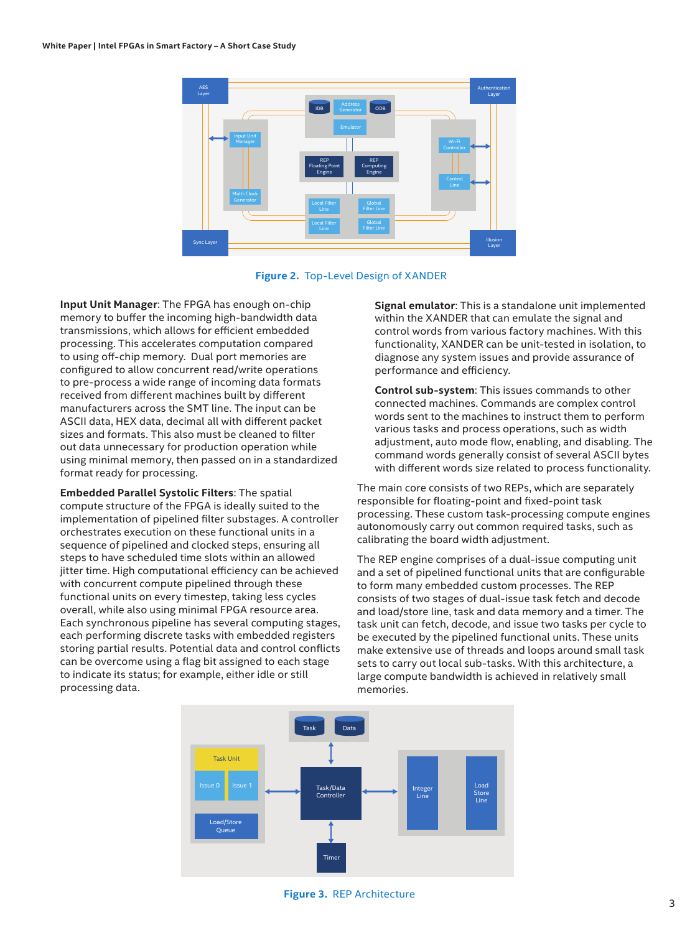



**Input Unit Manager**: The FPGA has enough on-chip memory to buffer the incoming high-bandwidth data transmissions, which allows for efficient embedded processing. This accelerates computation compared to using off-chip memory. Dual port memories are configured to allow concurrent read/write operations to pre-process a wide range of incoming data formats received from different machines built by different manufacturers across the SMT line. The input can be ASCII data, HEX data, decimal all with different packet sizes and formats. This also must be cleaned to filter out data unnecessary for production operation while using minimal memory, then passed on in a standardized format ready for processing.

**Embedded Parallel Systolic Filters**: The spatial compute structure of the FPGA is ideally suited to the implementation of pipelined filter substages. A controller orchestrates execution on these functional units in a sequence of pipelined and clocked steps, ensuring all steps to have scheduled time slots within an allowed jitter time. High computational efficiency can be achieved with concurrent compute pipelined through these functional units on every timestep, taking less cycles overall, while also using minimal FPGA resource area. Each synchronous pipeline has several computing stages, each performing discrete tasks with embedded registers storing partial results. Potential data and control conflicts can be overcome using a flag bit assigned to each stage to indicate its status; for example, either idle or still processing data.

**Signal emulator**: This is a standalone unit implemented within the XANDER that can emulate the signal and control words from various factory machines. With this functionality, XANDER can be unit-tested in isolation, to diagnose any system issues and provide assurance of performance and efficiency.

**Control sub-system**: This issues commands to other connected machines. Commands are complex control words sent to the machines to instruct them to perform various tasks and process operations, such as width adjustment, auto mode flow, enabling, and disabling. The command words generally consist of several ASCII bytes with different words size related to process functionality.

The main core consists of two REPs, which are separately responsible for floating-point and fixed-point task processing. These custom task-processing compute engines autonomously carry out common required tasks, such as calibrating the board width adjustment.

The REP engine comprises of a dual-issue computing unit and a set of pipelined functional units that are configurable to form many embedded custom processes. The REP consists of two stages of dual-issue task fetch and decode and load/store line, task and data memory and a timer. The task unit can fetch, decode, and issue two tasks per cycle to be executed by the pipelined functional units. These units make extensive use of threads and loops around small task sets to carry out local sub-tasks. With this architecture, a large compute bandwidth is achieved in relatively small memories.



**Figure 3.** REP Architecture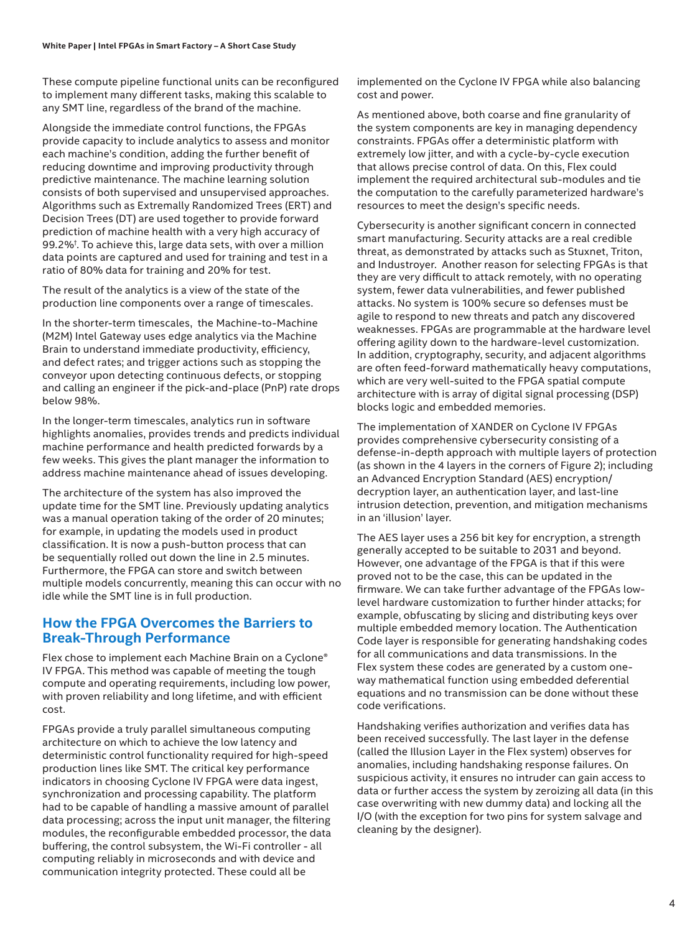These compute pipeline functional units can be reconfigured to implement many different tasks, making this scalable to any SMT line, regardless of the brand of the machine.

Alongside the immediate control functions, the FPGAs provide capacity to include analytics to assess and monitor each machine's condition, adding the further benefit of reducing downtime and improving productivity through predictive maintenance. The machine learning solution consists of both supervised and unsupervised approaches. Algorithms such as Extremally Randomized Trees (ERT) and Decision Trees (DT) are used together to provide forward prediction of machine health with a very high accuracy of 99.2%† . To achieve this, large data sets, with over a million data points are captured and used for training and test in a ratio of 80% data for training and 20% for test.

The result of the analytics is a view of the state of the production line components over a range of timescales.

In the shorter-term timescales, the Machine-to-Machine (M2M) Intel Gateway uses edge analytics via the Machine Brain to understand immediate productivity, efficiency, and defect rates; and trigger actions such as stopping the conveyor upon detecting continuous defects, or stopping and calling an engineer if the pick-and-place (PnP) rate drops below 98%.

In the longer-term timescales, analytics run in software highlights anomalies, provides trends and predicts individual machine performance and health predicted forwards by a few weeks. This gives the plant manager the information to address machine maintenance ahead of issues developing.

The architecture of the system has also improved the update time for the SMT line. Previously updating analytics was a manual operation taking of the order of 20 minutes; for example, in updating the models used in product classification. It is now a push-button process that can be sequentially rolled out down the line in 2.5 minutes. Furthermore, the FPGA can store and switch between multiple models concurrently, meaning this can occur with no idle while the SMT line is in full production.

## **How the FPGA Overcomes the Barriers to Break-Through Performance**

Flex chose to implement each Machine Brain on a Cyclone® IV FPGA. This method was capable of meeting the tough compute and operating requirements, including low power, with proven reliability and long lifetime, and with efficient cost.

FPGAs provide a truly parallel simultaneous computing architecture on which to achieve the low latency and deterministic control functionality required for high-speed production lines like SMT. The critical key performance indicators in choosing Cyclone IV FPGA were data ingest, synchronization and processing capability. The platform had to be capable of handling a massive amount of parallel data processing; across the input unit manager, the filtering modules, the reconfigurable embedded processor, the data buffering, the control subsystem, the Wi-Fi controller - all computing reliably in microseconds and with device and communication integrity protected. These could all be

implemented on the Cyclone IV FPGA while also balancing cost and power.

As mentioned above, both coarse and fine granularity of the system components are key in managing dependency constraints. FPGAs offer a deterministic platform with extremely low jitter, and with a cycle-by-cycle execution that allows precise control of data. On this, Flex could implement the required architectural sub-modules and tie the computation to the carefully parameterized hardware's resources to meet the design's specific needs.

Cybersecurity is another significant concern in connected smart manufacturing. Security attacks are a real credible threat, as demonstrated by attacks such as Stuxnet, Triton, and Industroyer. Another reason for selecting FPGAs is that they are very difficult to attack remotely, with no operating system, fewer data vulnerabilities, and fewer published attacks. No system is 100% secure so defenses must be agile to respond to new threats and patch any discovered weaknesses. FPGAs are programmable at the hardware level offering agility down to the hardware-level customization. In addition, cryptography, security, and adjacent algorithms are often feed-forward mathematically heavy computations, which are very well-suited to the FPGA spatial compute architecture with is array of digital signal processing (DSP) blocks logic and embedded memories.

The implementation of XANDER on Cyclone IV FPGAs provides comprehensive cybersecurity consisting of a defense-in-depth approach with multiple layers of protection (as shown in the 4 layers in the corners of Figure 2); including an Advanced Encryption Standard (AES) encryption/ decryption layer, an authentication layer, and last-line intrusion detection, prevention, and mitigation mechanisms in an 'illusion' layer.

The AES layer uses a 256 bit key for encryption, a strength generally accepted to be suitable to 2031 and beyond. However, one advantage of the FPGA is that if this were proved not to be the case, this can be updated in the firmware. We can take further advantage of the FPGAs lowlevel hardware customization to further hinder attacks; for example, obfuscating by slicing and distributing keys over multiple embedded memory location. The Authentication Code layer is responsible for generating handshaking codes for all communications and data transmissions. In the Flex system these codes are generated by a custom oneway mathematical function using embedded deferential equations and no transmission can be done without these code verifications.

Handshaking verifies authorization and verifies data has been received successfully. The last layer in the defense (called the Illusion Layer in the Flex system) observes for anomalies, including handshaking response failures. On suspicious activity, it ensures no intruder can gain access to data or further access the system by zeroizing all data (in this case overwriting with new dummy data) and locking all the I/O (with the exception for two pins for system salvage and cleaning by the designer).